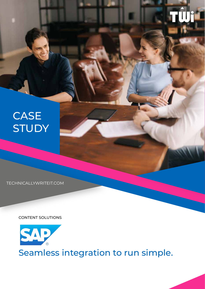# **CASE STUDY**

TECHNICALLYWRITEIT.COM

CONTENT SOLUTIONS



Seamless integration to run simple.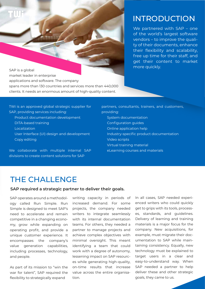SAP is a global market leader in enterprise applications and software. The company spans more than 130 countries and services more than 440,000 clients. It needs an enormous amount of high-quality content.

## INTRODUCTION

We partnered with SAP – one of the world's largest software vendors – to improve the quality of their documents, enhance their flexibility and scalability, free up time for their staff, and get their content to market more quickly.

TWi is an approved global strategic supplier for SAP, providing services including: Product documentation development DITA-based training Localization User Interface (UI) design and development Copy editing

We collaborate with multiple internal SAP divisions to create content solutions for SAP

partners, consultants, trainers, and customers, providing: System documentation Configuration guides Online application help Industry-specific product documentation Video scripts Virtual training material eLearning courses and materials

### THE CHALLENGE

#### **SAP required a strategic partner to deliver their goals.**

SAP operates around a methodology called Run Simple. Run Simple is designed to meet SAP's need to accelerate and remain competitive in a changing economy, grow while expanding on operating profit, and provide a unique customer experience. It encompasses the company's value generation capabilities, including processes, technology, and people.

As part of its mission to "win the war for talent". SAP required the flexibility to strategically expand

writing capacity in periods of increased demand. For some projects, the company needed writers to integrate seamlessly with its internal documentation teams. For others, they needed a partner to manage projects and achieve complex objectives with minimal oversight. This meant identifying a team that could work with a degree of autonomy, lessening impact on SAP resources while generating high-quality, on-time results that increase value across the entire organisation.

In all cases, SAP needed experienced writers who could quickly get to grips with its tools, processes, standards, and guidelines. Delivery of learning and training materials is a major focus for the company. New acquisitions, for example, must migrate their documentation to SAP while maintaining consistency. Equally, new technology must be explained to target users in a clear and easy-to-understand way. When SAP needed a partner to help deliver these and other strategic goals, they came to us.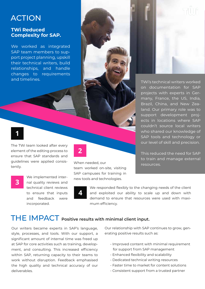## ACTION

#### **TWi Reduced Complexity for SAP.**

We worked as integrated SAP team members to support project planning, upskill their technical writers, build relationships, and handle changes to requirements

#### **1**

The TWi team looked after every element of the editing process to ensure that SAP standards and guidelines were applied consistently.

**3**

We implemented internal quality reviews and technical client reviews to ensure that inputs and feedback were incorporated.

# **2**

When needed, our team worked on-site, visiting SAP campuses for training in new tools and technologies.

**4**

We responded flexibly to the changing needs of the client and exploited our ability to scale up and down with demand to ensure that resources were used with maximum efficiency.

### THE IMPACT **Positive results with minimal client input.**

Our writers became experts in SAP's language, style, processes, and tools. With our support, a significant amount of internal time was freed up at SAP for core activities such as training, development, and consulting. This increased efficiency within SAP, returning capacity to their teams to work without disruption. Feedback emphasised the high quality and technical accuracy of our deliverables.

Our relationship with SAP continues to grow, generating positive results such as:

- Improved content with minimal requirement for support from SAP management
- Enhanced flexibility and scalability
- Dedicated technical writing resources
- Faster time to market for content solutions
- Consistent support from a trusted partner

and timelines. TWi's technical writers worked on documentation for SAP projects with experts in Germany, France, the US, India, Brazil, China, and New Zealand. Our primary role was to support development projects in locations where SAP couldn't source local writers who shared our knowledge of SAP tools and technology or our level of skill and precision.

> This reduced the need for SAP to train and manage external resources.